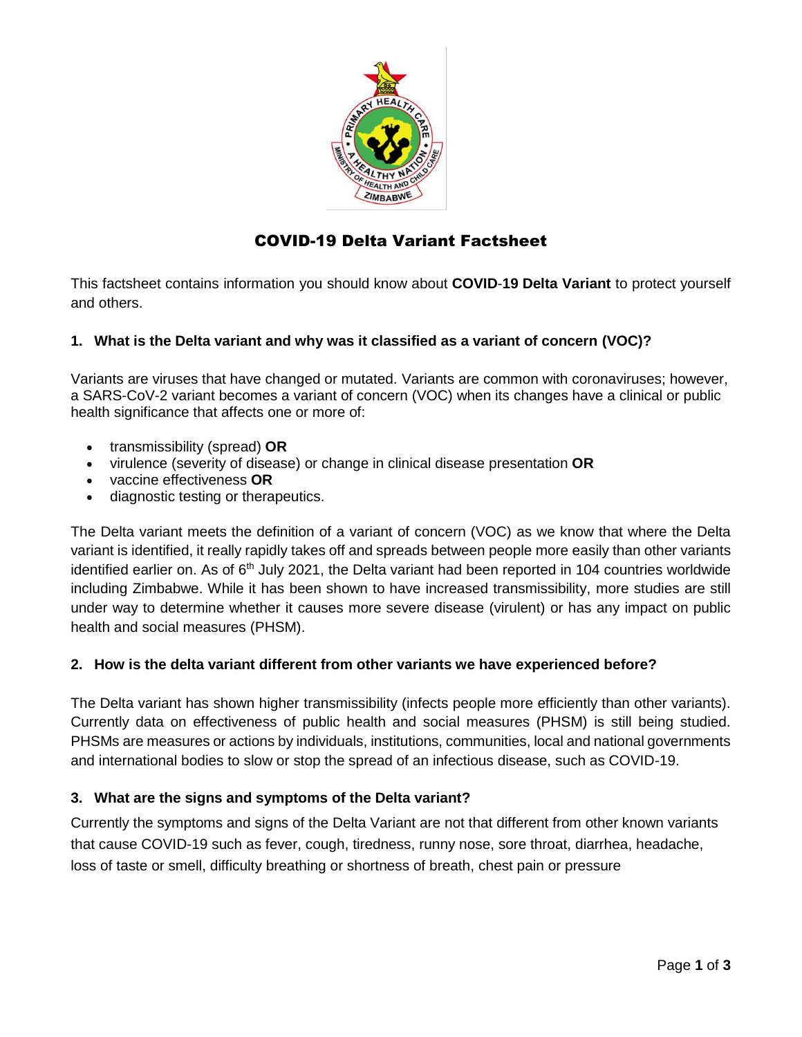

# COVID-19 Delta Variant Factsheet

This factsheet contains information you should know about **COVID**-**19 Delta Variant** to protect yourself and others.

## **1. What is the Delta variant and why was it classified as a variant of concern (VOC)?**

Variants are viruses that have changed or mutated. Variants are common with coronaviruses; however, a SARS-CoV-2 variant becomes a variant of concern (VOC) when its changes have a clinical or public health significance that affects one or more of:

- transmissibility (spread) **OR**
- virulence (severity of disease) or change in clinical disease presentation **OR**
- vaccine effectiveness **OR**
- diagnostic testing or therapeutics.

The Delta variant meets the definition of a variant of concern (VOC) as we know that where the Delta variant is identified, it really rapidly takes off and spreads between people more easily than other variants identified earlier on. As of 6<sup>th</sup> July 2021, the Delta variant had been reported in 104 countries worldwide including Zimbabwe. While it has been shown to have increased transmissibility, more studies are still under way to determine whether it causes more severe disease (virulent) or has any impact on public health and social measures (PHSM).

#### **2. How is the delta variant different from other variants we have experienced before?**

The Delta variant has shown higher transmissibility (infects people more efficiently than other variants). Currently data on effectiveness of public health and social measures (PHSM) is still being studied. PHSMs are measures or actions by individuals, institutions, communities, local and national governments and international bodies to slow or stop the spread of an infectious disease, such as COVID-19.

#### **3. What are the signs and symptoms of the Delta variant?**

Currently the symptoms and signs of the Delta Variant are not that different from other known variants that cause COVID-19 such as fever, cough, tiredness, runny nose, sore throat, diarrhea, headache, loss of taste or smell, difficulty breathing or shortness of breath, chest pain or pressure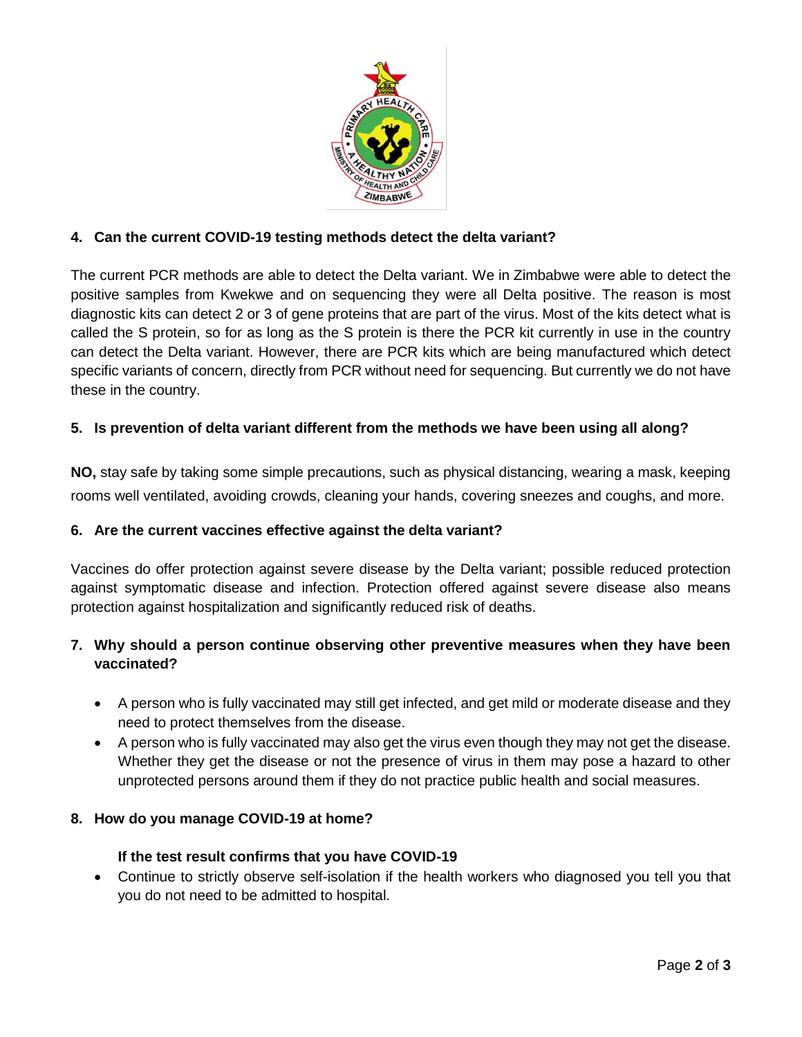

## **4. Can the current COVID-19 testing methods detect the delta variant?**

The current PCR methods are able to detect the Delta variant. We in Zimbabwe were able to detect the positive samples from Kwekwe and on sequencing they were all Delta positive. The reason is most diagnostic kits can detect 2 or 3 of gene proteins that are part of the virus. Most of the kits detect what is called the S protein, so for as long as the S protein is there the PCR kit currently in use in the country can detect the Delta variant. However, there are PCR kits which are being manufactured which detect specific variants of concern, directly from PCR without need for sequencing. But currently we do not have these in the country.

## **5. Is prevention of delta variant different from the methods we have been using all along?**

**NO,** stay safe by taking some simple precautions, such as physical distancing, wearing a mask, keeping rooms well ventilated, avoiding crowds, cleaning your hands, covering sneezes and coughs, and more.

#### **6. Are the current vaccines effective against the delta variant?**

Vaccines do offer protection against severe disease by the Delta variant; possible reduced protection against symptomatic disease and infection. Protection offered against severe disease also means protection against hospitalization and significantly reduced risk of deaths.

## **7. Why should a person continue observing other preventive measures when they have been vaccinated?**

- A person who is fully vaccinated may still get infected, and get mild or moderate disease and they need to protect themselves from the disease.
- A person who is fully vaccinated may also get the virus even though they may not get the disease. Whether they get the disease or not the presence of virus in them may pose a hazard to other unprotected persons around them if they do not practice public health and social measures.

#### **8. How do you manage COVID-19 at home?**

#### **If the test result confirms that you have COVID-19**

• Continue to strictly observe self-isolation if the health workers who diagnosed you tell you that you do not need to be admitted to hospital.